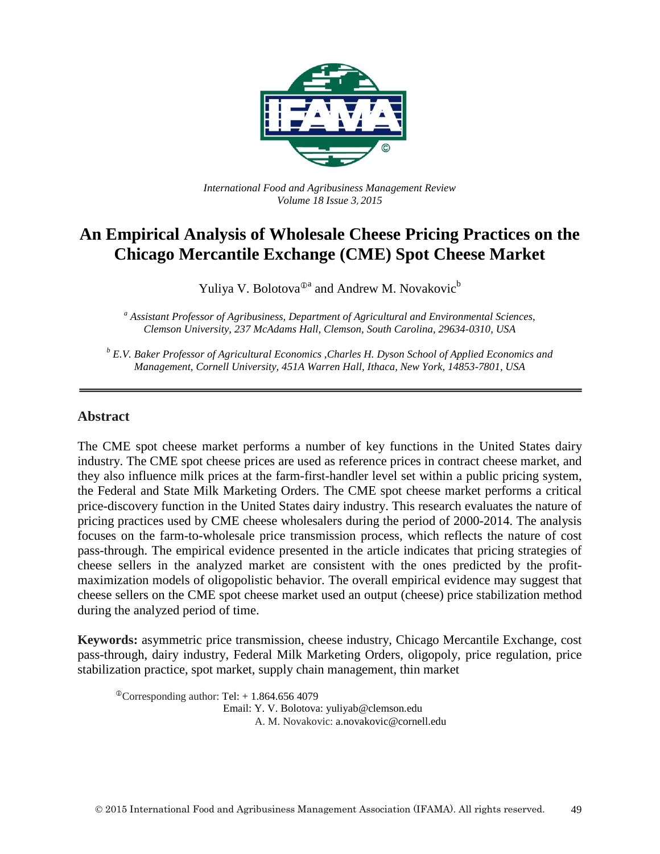

*International Food and Agribusiness Management Review Volume 18 Issue 3*, *2015*

# **An Empirical Analysis of Wholesale Cheese Pricing Practices on the Chicago Mercantile Exchange (CME) Spot Cheese Market**

Yuliya V. Bolotova<sup> $\mathbb{O}^a$ </sup> and Andrew M. Novakovic<sup>b</sup>

*<sup>a</sup> Assistant Professor of Agribusiness, Department of Agricultural and Environmental Sciences, Clemson University, 237 McAdams Hall, Clemson, South Carolina, 29634-0310, USA*

*<sup>b</sup> E.V. Baker Professor of Agricultural Economics ,Charles H. Dyson School of Applied Economics and Management, Cornell University, 451A Warren Hall, Ithaca, New York, 14853-7801, USA*

#### **Abstract**

The CME spot cheese market performs a number of key functions in the United States dairy industry. The CME spot cheese prices are used as reference prices in contract cheese market, and they also influence milk prices at the farm-first-handler level set within a public pricing system, the Federal and State Milk Marketing Orders. The CME spot cheese market performs a critical price-discovery function in the United States dairy industry. This research evaluates the nature of pricing practices used by CME cheese wholesalers during the period of 2000-2014. The analysis focuses on the farm-to-wholesale price transmission process, which reflects the nature of cost pass-through. The empirical evidence presented in the article indicates that pricing strategies of cheese sellers in the analyzed market are consistent with the ones predicted by the profitmaximization models of oligopolistic behavior. The overall empirical evidence may suggest that cheese sellers on the CME spot cheese market used an output (cheese) price stabilization method during the analyzed period of time.

**Keywords:** asymmetric price transmission, cheese industry, Chicago Mercantile Exchange, cost pass-through, dairy industry, Federal Milk Marketing Orders, oligopoly, price regulation, price stabilization practice, spot market, supply chain management, thin market

 $^{\circ}$ Corresponding author: Tel: + 1.864.656 4079 Email: Y. V. Bolotova: yuliyab@clemson.edu A. M. Novakovic: a.novakovic@cornell.edu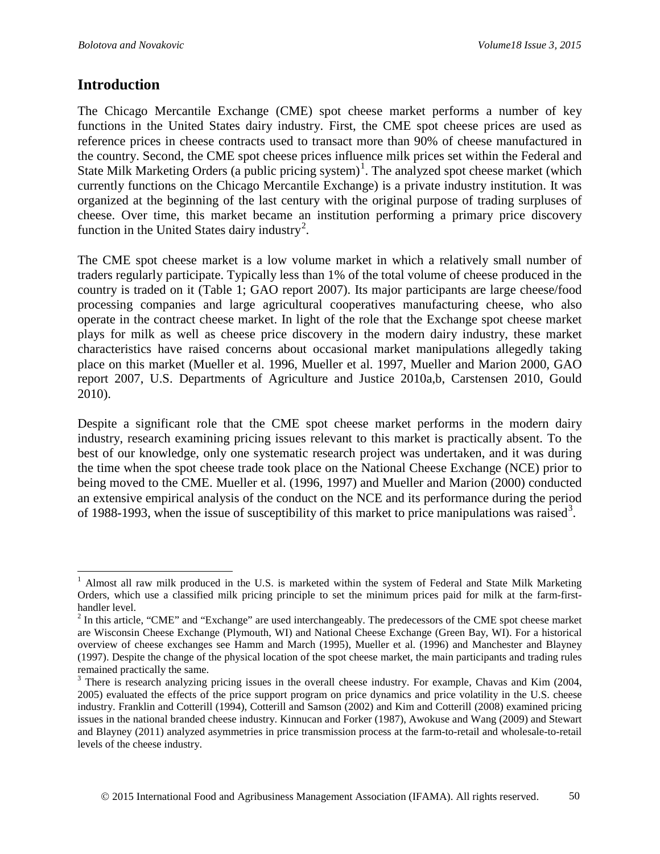#### **Introduction**

The Chicago Mercantile Exchange (CME) spot cheese market performs a number of key functions in the United States dairy industry. First, the CME spot cheese prices are used as reference prices in cheese contracts used to transact more than 90% of cheese manufactured in the country. Second, the CME spot cheese prices influence milk prices set within the Federal and State Milk Marketing Orders (a public pricing system)<sup>[1](#page-1-0)</sup>. The analyzed spot cheese market (which currently functions on the Chicago Mercantile Exchange) is a private industry institution. It was organized at the beginning of the last century with the original purpose of trading surpluses of cheese. Over time, this market became an institution performing a primary price discovery function in the United States dairy industry<sup>[2](#page-1-1)</sup>.

The CME spot cheese market is a low volume market in which a relatively small number of traders regularly participate. Typically less than 1% of the total volume of cheese produced in the country is traded on it (Table 1; GAO report 2007). Its major participants are large cheese/food processing companies and large agricultural cooperatives manufacturing cheese, who also operate in the contract cheese market. In light of the role that the Exchange spot cheese market plays for milk as well as cheese price discovery in the modern dairy industry, these market characteristics have raised concerns about occasional market manipulations allegedly taking place on this market (Mueller et al. 1996, Mueller et al. 1997, Mueller and Marion 2000, GAO report 2007, U.S. Departments of Agriculture and Justice 2010a,b, Carstensen 2010, Gould 2010).

Despite a significant role that the CME spot cheese market performs in the modern dairy industry, research examining pricing issues relevant to this market is practically absent. To the best of our knowledge, only one systematic research project was undertaken, and it was during the time when the spot cheese trade took place on the National Cheese Exchange (NCE) prior to being moved to the CME. Mueller et al. (1996, 1997) and Mueller and Marion (2000) conducted an extensive empirical analysis of the conduct on the NCE and its performance during the period of 1988-199[3](#page-1-2), when the issue of susceptibility of this market to price manipulations was raised<sup>3</sup>.

<span id="page-1-0"></span><sup>&</sup>lt;sup>1</sup> Almost all raw milk produced in the U.S. is marketed within the system of Federal and State Milk Marketing Orders, which use a classified milk pricing principle to set the minimum prices paid for milk at the farm-firsthandler level.

<span id="page-1-1"></span><sup>&</sup>lt;sup>2</sup> In this article, "CME" and "Exchange" are used interchangeably. The predecessors of the CME spot cheese market are Wisconsin Cheese Exchange (Plymouth, WI) and National Cheese Exchange (Green Bay, WI). For a historical overview of cheese exchanges see Hamm and March (1995), Mueller et al. (1996) and Manchester and Blayney (1997). Despite the change of the physical location of the spot cheese market, the main participants and trading rules remained practically the same.

<span id="page-1-2"></span><sup>&</sup>lt;sup>3</sup> There is research analyzing pricing issues in the overall cheese industry. For example, Chavas and Kim (2004, 2005) evaluated the effects of the price support program on price dynamics and price volatility in the U.S. cheese industry. Franklin and Cotterill (1994), Cotterill and Samson (2002) and Kim and Cotterill (2008) examined pricing issues in the national branded cheese industry. Kinnucan and Forker (1987), Awokuse and Wang (2009) and Stewart and Blayney (2011) analyzed asymmetries in price transmission process at the farm-to-retail and wholesale-to-retail levels of the cheese industry.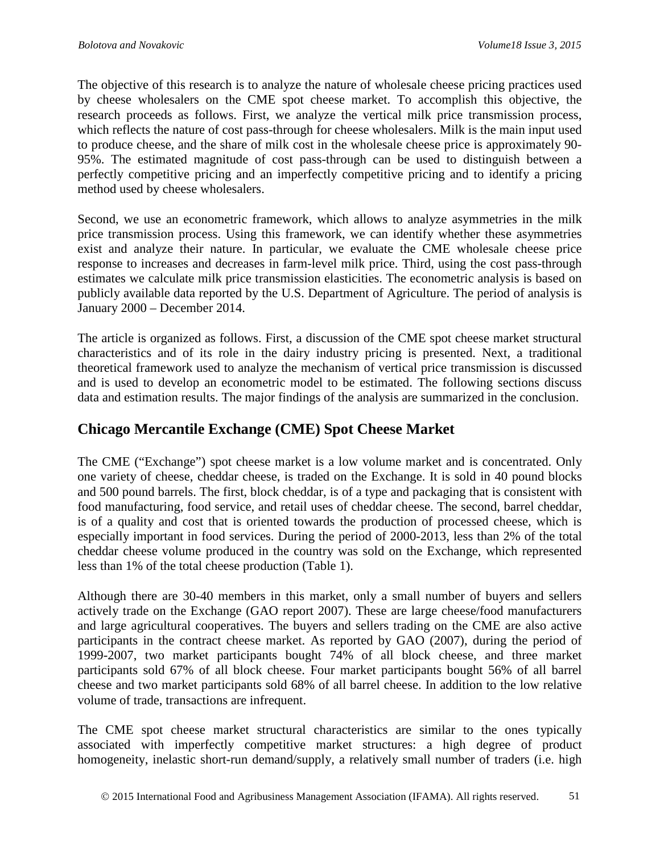The objective of this research is to analyze the nature of wholesale cheese pricing practices used by cheese wholesalers on the CME spot cheese market. To accomplish this objective, the research proceeds as follows. First, we analyze the vertical milk price transmission process, which reflects the nature of cost pass-through for cheese wholesalers. Milk is the main input used to produce cheese, and the share of milk cost in the wholesale cheese price is approximately 90- 95%. The estimated magnitude of cost pass-through can be used to distinguish between a perfectly competitive pricing and an imperfectly competitive pricing and to identify a pricing method used by cheese wholesalers.

Second, we use an econometric framework, which allows to analyze asymmetries in the milk price transmission process. Using this framework, we can identify whether these asymmetries exist and analyze their nature. In particular, we evaluate the CME wholesale cheese price response to increases and decreases in farm-level milk price. Third, using the cost pass-through estimates we calculate milk price transmission elasticities. The econometric analysis is based on publicly available data reported by the U.S. Department of Agriculture. The period of analysis is January 2000 – December 2014.

The article is organized as follows. First, a discussion of the CME spot cheese market structural characteristics and of its role in the dairy industry pricing is presented. Next, a traditional theoretical framework used to analyze the mechanism of vertical price transmission is discussed and is used to develop an econometric model to be estimated. The following sections discuss data and estimation results. The major findings of the analysis are summarized in the conclusion.

### **Chicago Mercantile Exchange (CME) Spot Cheese Market**

The CME ("Exchange") spot cheese market is a low volume market and is concentrated. Only one variety of cheese, cheddar cheese, is traded on the Exchange. It is sold in 40 pound blocks and 500 pound barrels. The first, block cheddar, is of a type and packaging that is consistent with food manufacturing, food service, and retail uses of cheddar cheese. The second, barrel cheddar, is of a quality and cost that is oriented towards the production of processed cheese, which is especially important in food services. During the period of 2000-2013, less than 2% of the total cheddar cheese volume produced in the country was sold on the Exchange, which represented less than 1% of the total cheese production (Table 1).

Although there are 30-40 members in this market, only a small number of buyers and sellers actively trade on the Exchange (GAO report 2007). These are large cheese/food manufacturers and large agricultural cooperatives. The buyers and sellers trading on the CME are also active participants in the contract cheese market. As reported by GAO (2007), during the period of 1999-2007, two market participants bought 74% of all block cheese, and three market participants sold 67% of all block cheese. Four market participants bought 56% of all barrel cheese and two market participants sold 68% of all barrel cheese. In addition to the low relative volume of trade, transactions are infrequent.

The CME spot cheese market structural characteristics are similar to the ones typically associated with imperfectly competitive market structures: a high degree of product homogeneity, inelastic short-run demand/supply, a relatively small number of traders (i.e. high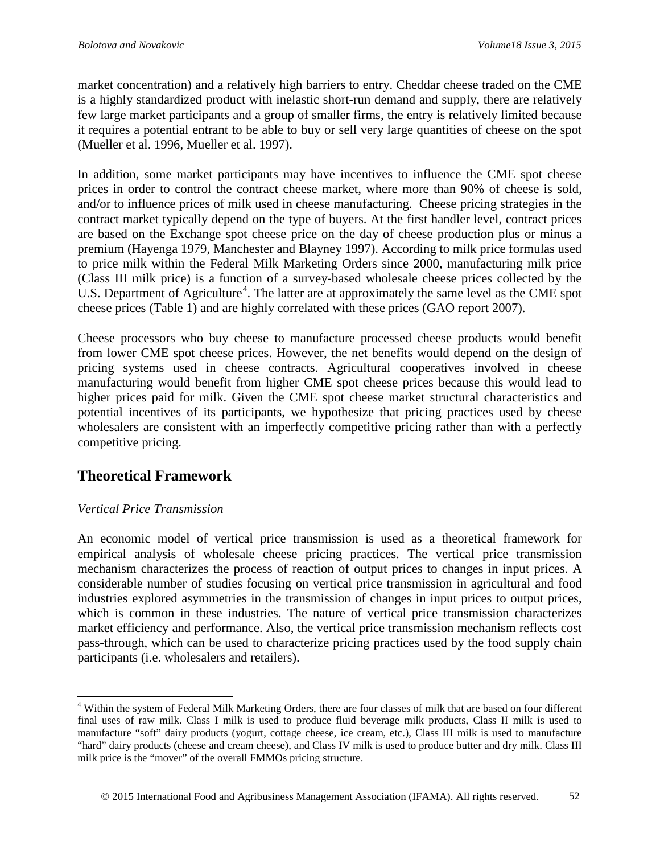market concentration) and a relatively high barriers to entry. Cheddar cheese traded on the CME is a highly standardized product with inelastic short-run demand and supply, there are relatively few large market participants and a group of smaller firms, the entry is relatively limited because it requires a potential entrant to be able to buy or sell very large quantities of cheese on the spot (Mueller et al. 1996, Mueller et al. 1997).

In addition, some market participants may have incentives to influence the CME spot cheese prices in order to control the contract cheese market, where more than 90% of cheese is sold, and/or to influence prices of milk used in cheese manufacturing. Cheese pricing strategies in the contract market typically depend on the type of buyers. At the first handler level, contract prices are based on the Exchange spot cheese price on the day of cheese production plus or minus a premium (Hayenga 1979, Manchester and Blayney 1997). According to milk price formulas used to price milk within the Federal Milk Marketing Orders since 2000, manufacturing milk price (Class III milk price) is a function of a survey-based wholesale cheese prices collected by the U.S. Department of Agriculture<sup>[4](#page-3-0)</sup>. The latter are at approximately the same level as the CME spot cheese prices (Table 1) and are highly correlated with these prices (GAO report 2007).

Cheese processors who buy cheese to manufacture processed cheese products would benefit from lower CME spot cheese prices. However, the net benefits would depend on the design of pricing systems used in cheese contracts. Agricultural cooperatives involved in cheese manufacturing would benefit from higher CME spot cheese prices because this would lead to higher prices paid for milk. Given the CME spot cheese market structural characteristics and potential incentives of its participants, we hypothesize that pricing practices used by cheese wholesalers are consistent with an imperfectly competitive pricing rather than with a perfectly competitive pricing.

### **Theoretical Framework**

#### *Vertical Price Transmission*

An economic model of vertical price transmission is used as a theoretical framework for empirical analysis of wholesale cheese pricing practices. The vertical price transmission mechanism characterizes the process of reaction of output prices to changes in input prices. A considerable number of studies focusing on vertical price transmission in agricultural and food industries explored asymmetries in the transmission of changes in input prices to output prices, which is common in these industries. The nature of vertical price transmission characterizes market efficiency and performance. Also, the vertical price transmission mechanism reflects cost pass-through, which can be used to characterize pricing practices used by the food supply chain participants (i.e. wholesalers and retailers).

<span id="page-3-0"></span> <sup>4</sup> Within the system of Federal Milk Marketing Orders, there are four classes of milk that are based on four different final uses of raw milk. Class I milk is used to produce fluid beverage milk products, Class II milk is used to manufacture "soft" dairy products (yogurt, cottage cheese, ice cream, etc.), Class III milk is used to manufacture "hard" dairy products (cheese and cream cheese), and Class IV milk is used to produce butter and dry milk. Class III milk price is the "mover" of the overall FMMOs pricing structure.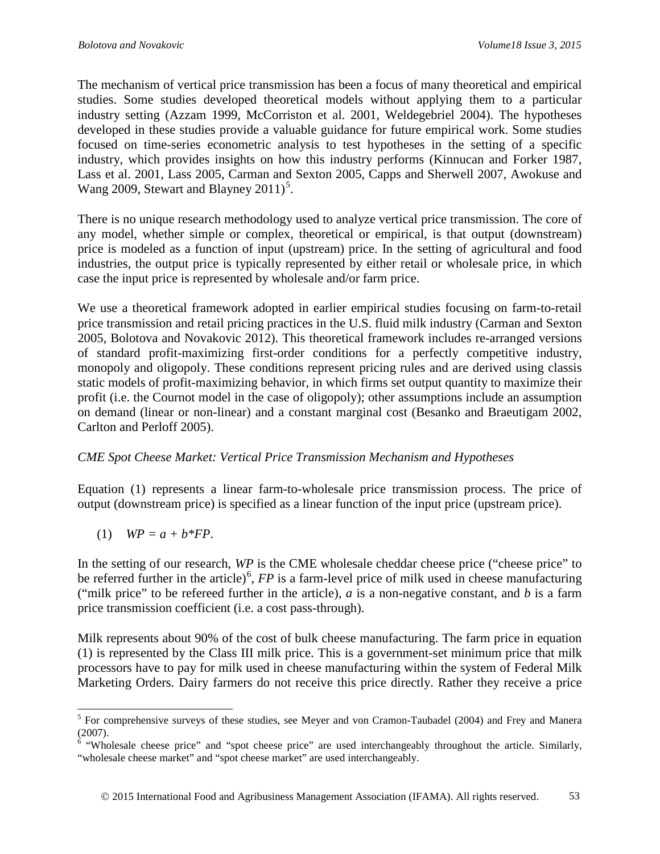The mechanism of vertical price transmission has been a focus of many theoretical and empirical studies. Some studies developed theoretical models without applying them to a particular industry setting (Azzam 1999, McCorriston et al. 2001, Weldegebriel 2004). The hypotheses developed in these studies provide a valuable guidance for future empirical work. Some studies focused on time-series econometric analysis to test hypotheses in the setting of a specific industry, which provides insights on how this industry performs (Kinnucan and Forker 1987, Lass et al. 2001, Lass 2005, Carman and Sexton 2005, Capps and Sherwell 2007, Awokuse and Wang 2009, Stewart and Blayney  $2011$ <sup>[5](#page-4-0)</sup>.

There is no unique research methodology used to analyze vertical price transmission. The core of any model, whether simple or complex, theoretical or empirical, is that output (downstream) price is modeled as a function of input (upstream) price. In the setting of agricultural and food industries, the output price is typically represented by either retail or wholesale price, in which case the input price is represented by wholesale and/or farm price.

We use a theoretical framework adopted in earlier empirical studies focusing on farm-to-retail price transmission and retail pricing practices in the U.S. fluid milk industry (Carman and Sexton 2005, Bolotova and Novakovic 2012). This theoretical framework includes re-arranged versions of standard profit-maximizing first-order conditions for a perfectly competitive industry, monopoly and oligopoly. These conditions represent pricing rules and are derived using classis static models of profit-maximizing behavior, in which firms set output quantity to maximize their profit (i.e. the Cournot model in the case of oligopoly); other assumptions include an assumption on demand (linear or non-linear) and a constant marginal cost (Besanko and Braeutigam 2002, Carlton and Perloff 2005).

#### *CME Spot Cheese Market: Vertical Price Transmission Mechanism and Hypotheses*

Equation (1) represents a linear farm-to-wholesale price transmission process. The price of output (downstream price) is specified as a linear function of the input price (upstream price).

(1) *WP = a + b\*FP*.

In the setting of our research, *WP* is the CME wholesale cheddar cheese price ("cheese price" to be referred further in the article)<sup>[6](#page-4-1)</sup>, *FP* is a farm-level price of milk used in cheese manufacturing ("milk price" to be refereed further in the article), *a* is a non-negative constant, and *b* is a farm price transmission coefficient (i.e. a cost pass-through).

Milk represents about 90% of the cost of bulk cheese manufacturing. The farm price in equation (1) is represented by the Class III milk price. This is a government-set minimum price that milk processors have to pay for milk used in cheese manufacturing within the system of Federal Milk Marketing Orders. Dairy farmers do not receive this price directly. Rather they receive a price

<span id="page-4-0"></span><sup>&</sup>lt;sup>5</sup> For comprehensive surveys of these studies, see Meyer and von Cramon-Taubadel (2004) and Frey and Manera (2007).

<span id="page-4-1"></span><sup>&</sup>lt;sup>6</sup> "Wholesale cheese price" and "spot cheese price" are used interchangeably throughout the article. Similarly, "wholesale cheese market" and "spot cheese market" are used interchangeably.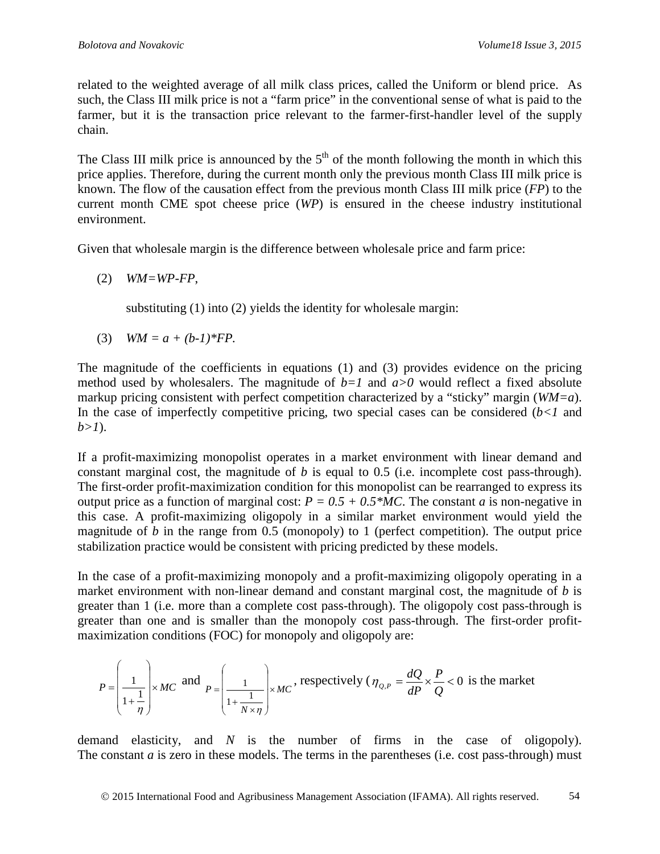related to the weighted average of all milk class prices, called the Uniform or blend price. As such, the Class III milk price is not a "farm price" in the conventional sense of what is paid to the farmer, but it is the transaction price relevant to the farmer-first-handler level of the supply chain.

The Class III milk price is announced by the  $5<sup>th</sup>$  of the month following the month in which this price applies. Therefore, during the current month only the previous month Class III milk price is known. The flow of the causation effect from the previous month Class III milk price (*FP*) to the current month CME spot cheese price (*WP*) is ensured in the cheese industry institutional environment.

Given that wholesale margin is the difference between wholesale price and farm price:

(2) *WM=WP-FP*,

substituting (1) into (2) yields the identity for wholesale margin:

(3)  $WM = a + (b-1)*FP$ .

The magnitude of the coefficients in equations (1) and (3) provides evidence on the pricing method used by wholesalers. The magnitude of  $b=1$  and  $a>0$  would reflect a fixed absolute markup pricing consistent with perfect competition characterized by a "sticky" margin (*WM=a*). In the case of imperfectly competitive pricing, two special cases can be considered  $(b < 1)$  and *b>1*).

If a profit-maximizing monopolist operates in a market environment with linear demand and constant marginal cost, the magnitude of *b* is equal to 0.5 (i.e. incomplete cost pass-through). The first-order profit-maximization condition for this monopolist can be rearranged to express its output price as a function of marginal cost:  $P = 0.5 + 0.5$  *MC*. The constant *a* is non-negative in this case. A profit-maximizing oligopoly in a similar market environment would yield the magnitude of  $b$  in the range from 0.5 (monopoly) to 1 (perfect competition). The output price stabilization practice would be consistent with pricing predicted by these models.

In the case of a profit-maximizing monopoly and a profit-maximizing oligopoly operating in a market environment with non-linear demand and constant marginal cost, the magnitude of *b* is greater than 1 (i.e. more than a complete cost pass-through). The oligopoly cost pass-through is greater than one and is smaller than the monopoly cost pass-through. The first-order profitmaximization conditions (FOC) for monopoly and oligopoly are:

$$
P = \left(\frac{1}{1 + \frac{1}{\eta}}\right) \times MC \text{ and } P = \left(\frac{1}{1 + \frac{1}{N \times \eta}}\right) \times MC, \text{ respectively } (\eta_{Q,P} = \frac{dQ}{dP} \times \frac{P}{Q} < 0 \text{ is the market})
$$

demand elasticity, and *N* is the number of firms in the case of oligopoly). The constant *a* is zero in these models. The terms in the parentheses (i.e. cost pass-through) must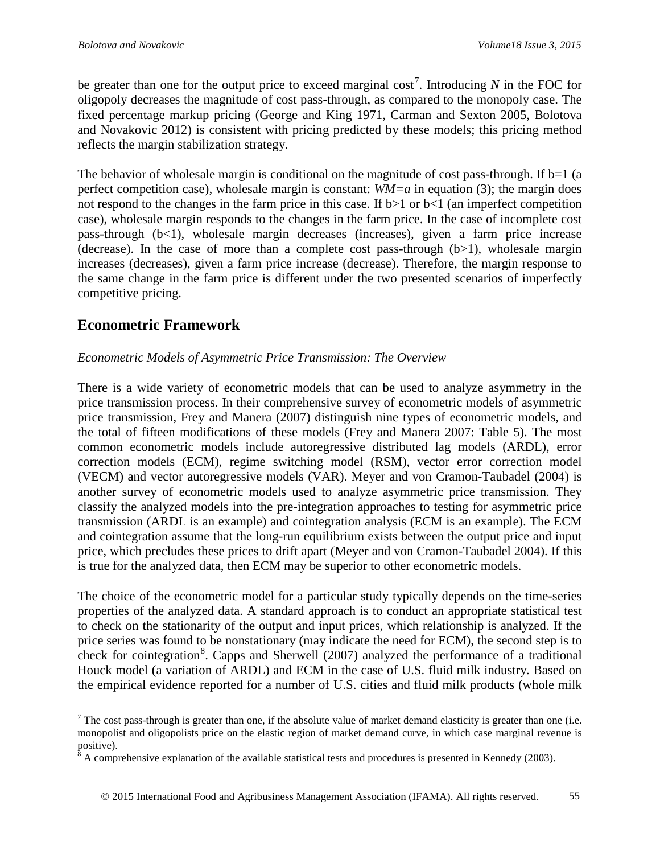be greater than one for the output price to exceed marginal  $\cos t^7$  $\cos t^7$ . Introducing *N* in the FOC for oligopoly decreases the magnitude of cost pass-through, as compared to the monopoly case. The fixed percentage markup pricing (George and King 1971, Carman and Sexton 2005, Bolotova and Novakovic 2012) is consistent with pricing predicted by these models; this pricing method reflects the margin stabilization strategy.

The behavior of wholesale margin is conditional on the magnitude of cost pass-through. If  $b=1$  (a perfect competition case), wholesale margin is constant: *WM=a* in equation (3); the margin does not respond to the changes in the farm price in this case. If  $b>1$  or  $b<1$  (an imperfect competition case), wholesale margin responds to the changes in the farm price. In the case of incomplete cost pass-through  $(b<1)$ , wholesale margin decreases (increases), given a farm price increase (decrease). In the case of more than a complete cost pass-through  $(b>1)$ , wholesale margin increases (decreases), given a farm price increase (decrease). Therefore, the margin response to the same change in the farm price is different under the two presented scenarios of imperfectly competitive pricing.

## **Econometric Framework**

#### *Econometric Models of Asymmetric Price Transmission: The Overview*

There is a wide variety of econometric models that can be used to analyze asymmetry in the price transmission process. In their comprehensive survey of econometric models of asymmetric price transmission, Frey and Manera (2007) distinguish nine types of econometric models, and the total of fifteen modifications of these models (Frey and Manera 2007: Table 5). The most common econometric models include autoregressive distributed lag models (ARDL), error correction models (ECM), regime switching model (RSM), vector error correction model (VECM) and vector autoregressive models (VAR). Meyer and von Cramon-Taubadel (2004) is another survey of econometric models used to analyze asymmetric price transmission. They classify the analyzed models into the pre-integration approaches to testing for asymmetric price transmission (ARDL is an example) and cointegration analysis (ECM is an example). The ECM and cointegration assume that the long-run equilibrium exists between the output price and input price, which precludes these prices to drift apart (Meyer and von Cramon-Taubadel 2004). If this is true for the analyzed data, then ECM may be superior to other econometric models.

The choice of the econometric model for a particular study typically depends on the time-series properties of the analyzed data. A standard approach is to conduct an appropriate statistical test to check on the stationarity of the output and input prices, which relationship is analyzed. If the price series was found to be nonstationary (may indicate the need for ECM), the second step is to check for cointegration<sup>[8](#page-6-1)</sup>. Capps and Sherwell (2007) analyzed the performance of a traditional Houck model (a variation of ARDL) and ECM in the case of U.S. fluid milk industry. Based on the empirical evidence reported for a number of U.S. cities and fluid milk products (whole milk

<span id="page-6-0"></span><sup>&</sup>lt;sup>7</sup> The cost pass-through is greater than one, if the absolute value of market demand elasticity is greater than one (i.e. monopolist and oligopolists price on the elastic region of market demand curve, in which case marginal revenue is positive).

<span id="page-6-1"></span> $\beta$  A comprehensive explanation of the available statistical tests and procedures is presented in Kennedy (2003).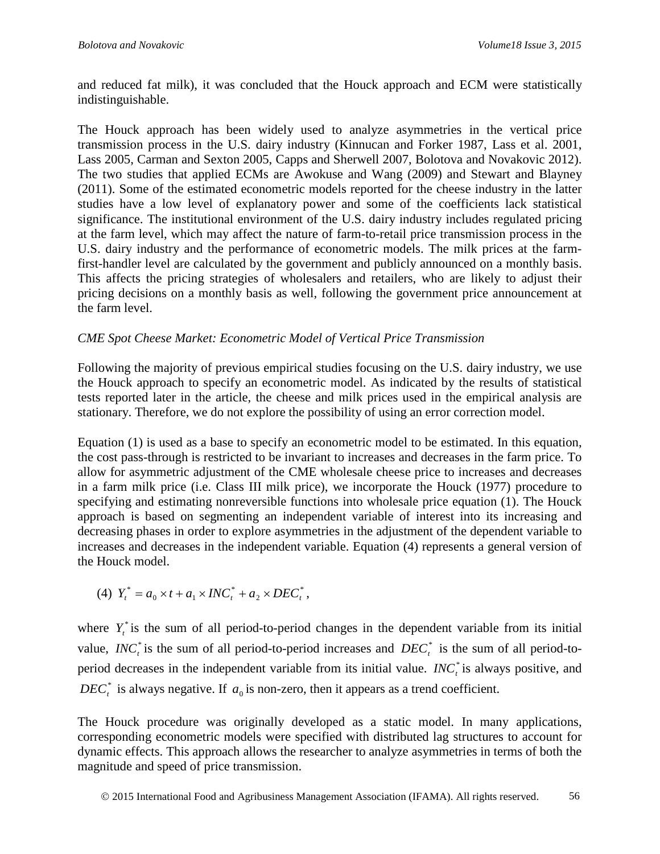and reduced fat milk), it was concluded that the Houck approach and ECM were statistically indistinguishable.

The Houck approach has been widely used to analyze asymmetries in the vertical price transmission process in the U.S. dairy industry (Kinnucan and Forker 1987, Lass et al. 2001, Lass 2005, Carman and Sexton 2005, Capps and Sherwell 2007, Bolotova and Novakovic 2012). The two studies that applied ECMs are Awokuse and Wang (2009) and Stewart and Blayney (2011). Some of the estimated econometric models reported for the cheese industry in the latter studies have a low level of explanatory power and some of the coefficients lack statistical significance. The institutional environment of the U.S. dairy industry includes regulated pricing at the farm level, which may affect the nature of farm-to-retail price transmission process in the U.S. dairy industry and the performance of econometric models. The milk prices at the farmfirst-handler level are calculated by the government and publicly announced on a monthly basis. This affects the pricing strategies of wholesalers and retailers, who are likely to adjust their pricing decisions on a monthly basis as well, following the government price announcement at the farm level.

#### *CME Spot Cheese Market: Econometric Model of Vertical Price Transmission*

Following the majority of previous empirical studies focusing on the U.S. dairy industry, we use the Houck approach to specify an econometric model. As indicated by the results of statistical tests reported later in the article, the cheese and milk prices used in the empirical analysis are stationary. Therefore, we do not explore the possibility of using an error correction model.

Equation (1) is used as a base to specify an econometric model to be estimated. In this equation, the cost pass-through is restricted to be invariant to increases and decreases in the farm price. To allow for asymmetric adjustment of the CME wholesale cheese price to increases and decreases in a farm milk price (i.e. Class III milk price), we incorporate the Houck (1977) procedure to specifying and estimating nonreversible functions into wholesale price equation (1). The Houck approach is based on segmenting an independent variable of interest into its increasing and decreasing phases in order to explore asymmetries in the adjustment of the dependent variable to increases and decreases in the independent variable. Equation (4) represents a general version of the Houck model.

(4)  $Y_t^* = a_0 \times t + a_1 \times INC_t^* + a_2 \times DEC_t^*$ \*  $0 \wedge$   $\mu$  1  $\mu$ <sub>1</sub>  $Y_t^* = a_0 \times t + a_1 \times INC_t^* + a_2 \times DEC_t^*,$ 

where  $Y_t^*$  is the sum of all period-to-period changes in the dependent variable from its initial value,  $INC<sub>t</sub><sup>*</sup>$  is the sum of all period-to-period increases and  $DEC<sub>t</sub><sup>*</sup>$  is the sum of all period-toperiod decreases in the independent variable from its initial value.  $INC<sub>t</sub><sup>*</sup>$  is always positive, and  $DEC<sub>r</sub><sup>*</sup>$  is always negative. If  $a<sub>0</sub>$  is non-zero, then it appears as a trend coefficient.

The Houck procedure was originally developed as a static model. In many applications, corresponding econometric models were specified with distributed lag structures to account for dynamic effects. This approach allows the researcher to analyze asymmetries in terms of both the magnitude and speed of price transmission.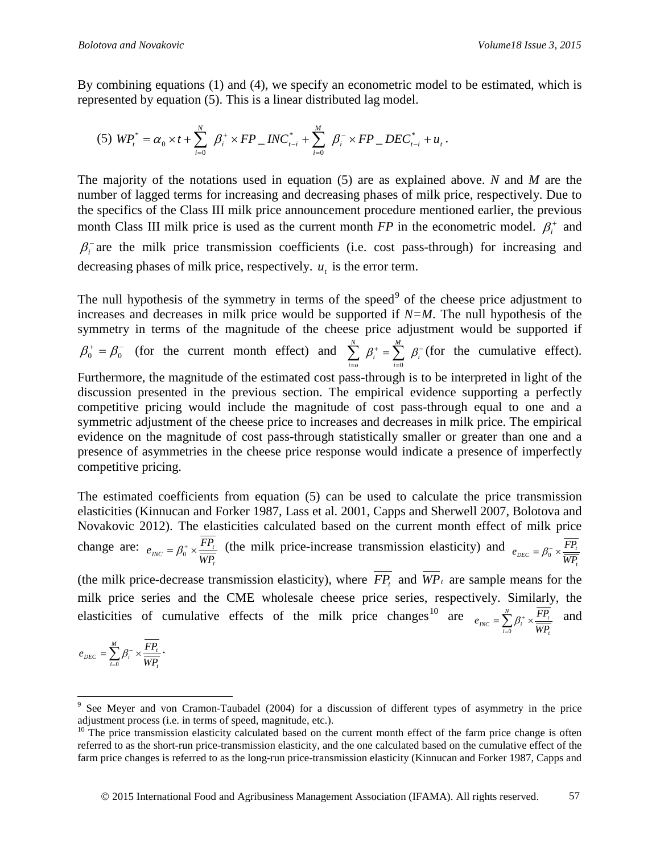*t*

0

By combining equations (1) and (4), we specify an econometric model to be estimated, which is represented by equation (5). This is a linear distributed lag model.

(5) 
$$
WP_t^* = \alpha_0 \times t + \sum_{i=0}^N \beta_i^* \times FP \_INC_{t-i}^* + \sum_{i=0}^M \beta_i^- \times FP \_DEC_{t-i}^* + u_t
$$
.

The majority of the notations used in equation (5) are as explained above. *N* and *M* are the number of lagged terms for increasing and decreasing phases of milk price, respectively. Due to the specifics of the Class III milk price announcement procedure mentioned earlier, the previous month Class III milk price is used as the current month  $FP$  in the econometric model.  $\beta_i^+$  and  $\beta_i$  are the milk price transmission coefficients (i.e. cost pass-through) for increasing and decreasing phases of milk price, respectively. *u<sub>t</sub>* is the error term.

The null hypothesis of the symmetry in terms of the speed $9$  of the cheese price adjustment to increases and decreases in milk price would be supported if *N=M*. The null hypothesis of the symmetry in terms of the magnitude of the cheese price adjustment would be supported if  $\beta_0^+ = \beta_0^-$  (for the current month effect) and  $\sum_{i=1}^{n} \beta_i^+ = \sum_{i=1}^{n} \beta_i^-$ = +  $\sum_{i=0}^{N} \beta_i^+ = \sum_{i=0}^{M} \beta_i^+$ *i i N i o*  $\beta_i^+ = \sum_i \beta_i$  $\mathbf{0}$ (for the cumulative effect). Furthermore, the magnitude of the estimated cost pass-through is to be interpreted in light of the discussion presented in the previous section. The empirical evidence supporting a perfectly competitive pricing would include the magnitude of cost pass-through equal to one and a symmetric adjustment of the cheese price to increases and decreases in milk price. The empirical evidence on the magnitude of cost pass-through statistically smaller or greater than one and a presence of asymmetries in the cheese price response would indicate a presence of imperfectly competitive pricing.

The estimated coefficients from equation (5) can be used to calculate the price transmission elasticities (Kinnucan and Forker 1987, Lass et al. 2001, Capps and Sherwell 2007, Bolotova and Novakovic 2012). The elasticities calculated based on the current month effect of milk price change are: *t*  $_{INC} = \beta_0^+ \times \frac{1}{W P_i}$  $e_{\text{INC}} = \beta_0^* \times \frac{FP_{\text{L}}}{\sqrt{TP_{\text{L}}}}$  (the milk price-increase transmission elasticity) and *t*  $e_{DEC} = \beta_0^- \times \frac{FP_t}{WP_t}$ 

(the milk price-decrease transmission elasticity), where  $\overline{FP_t}$  and  $\overline{WP_t}$  are sample means for the milk price series and the CME wholesale cheese price series, respectively. Similarly, the elasticities of cumulative effects of the milk price changes<sup>[10](#page-8-1)</sup> are  $\sum_{i=1}^{N} P_i$  $e_{INC} = \sum_{i=0}^{N} \beta_i^+ \times \frac{FP_i}{\overline{WP_i}}$  $\beta_i^* \times \frac{FP_t}{\sqrt{pre}}$  and

$$
e_{DEC} = \sum_{i=0}^{M} \beta_i^{-} \times \frac{\overline{FP_i}}{\overline{WP_i}}.
$$

<span id="page-8-0"></span> <sup>9</sup> See Meyer and von Cramon-Taubadel (2004) for a discussion of different types of asymmetry in the price adjustment process (i.e. in terms of speed, magnitude, etc.).

<span id="page-8-1"></span> $10$  The price transmission elasticity calculated based on the current month effect of the farm price change is often referred to as the short-run price-transmission elasticity, and the one calculated based on the cumulative effect of the farm price changes is referred to as the long-run price-transmission elasticity (Kinnucan and Forker 1987, Capps and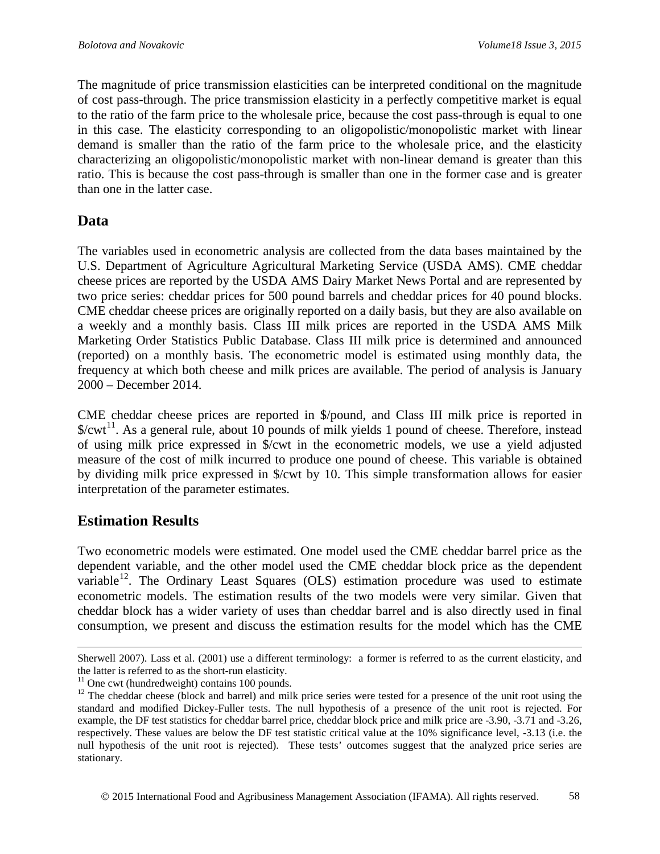The magnitude of price transmission elasticities can be interpreted conditional on the magnitude of cost pass-through. The price transmission elasticity in a perfectly competitive market is equal to the ratio of the farm price to the wholesale price, because the cost pass-through is equal to one in this case. The elasticity corresponding to an oligopolistic/monopolistic market with linear demand is smaller than the ratio of the farm price to the wholesale price, and the elasticity characterizing an oligopolistic/monopolistic market with non-linear demand is greater than this ratio. This is because the cost pass-through is smaller than one in the former case and is greater than one in the latter case.

### **Data**

The variables used in econometric analysis are collected from the data bases maintained by the U.S. Department of Agriculture Agricultural Marketing Service (USDA AMS). CME cheddar cheese prices are reported by the USDA AMS Dairy Market News Portal and are represented by two price series: cheddar prices for 500 pound barrels and cheddar prices for 40 pound blocks. CME cheddar cheese prices are originally reported on a daily basis, but they are also available on a weekly and a monthly basis. Class III milk prices are reported in the USDA AMS Milk Marketing Order Statistics Public Database. Class III milk price is determined and announced (reported) on a monthly basis. The econometric model is estimated using monthly data, the frequency at which both cheese and milk prices are available. The period of analysis is January 2000 – December 2014.

CME cheddar cheese prices are reported in \$/pound, and Class III milk price is reported in  $%$  ( $\times$   $t$ <sup>[11](#page-9-0)</sup>. As a general rule, about 10 pounds of milk yields 1 pound of cheese. Therefore, instead of using milk price expressed in \$/cwt in the econometric models, we use a yield adjusted measure of the cost of milk incurred to produce one pound of cheese. This variable is obtained by dividing milk price expressed in \$/cwt by 10. This simple transformation allows for easier interpretation of the parameter estimates.

### **Estimation Results**

 $\overline{a}$ 

Two econometric models were estimated. One model used the CME cheddar barrel price as the dependent variable, and the other model used the CME cheddar block price as the dependent variable<sup>[12](#page-9-1)</sup>. The Ordinary Least Squares (OLS) estimation procedure was used to estimate econometric models. The estimation results of the two models were very similar. Given that cheddar block has a wider variety of uses than cheddar barrel and is also directly used in final consumption, we present and discuss the estimation results for the model which has the CME

Sherwell 2007). Lass et al. (2001) use a different terminology: a former is referred to as the current elasticity, and the latter is referred to as the short-run elasticity.

<span id="page-9-1"></span><span id="page-9-0"></span><sup>&</sup>lt;sup>11</sup> One cwt (hundredweight) contains 100 pounds. <sup>12</sup> The cheddar cheese (block and barrel) and milk price series were tested for a presence of the unit root using the standard and modified Dickey-Fuller tests. The null hypothesis of a presence of the unit root is rejected. For example, the DF test statistics for cheddar barrel price, cheddar block price and milk price are -3.90, -3.71 and -3.26, respectively. These values are below the DF test statistic critical value at the 10% significance level, -3.13 (i.e. the null hypothesis of the unit root is rejected). These tests' outcomes suggest that the analyzed price series are stationary.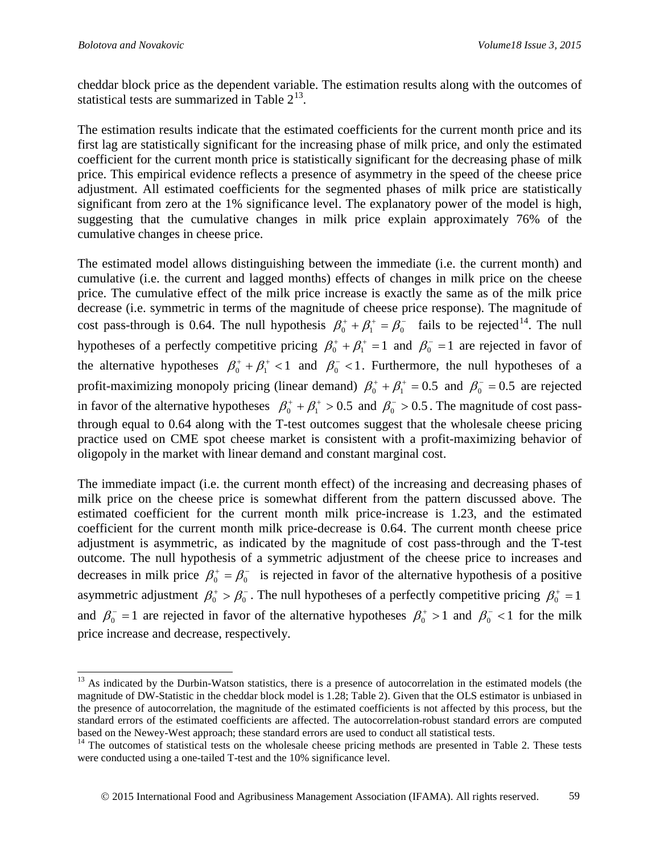cheddar block price as the dependent variable. The estimation results along with the outcomes of statistical tests are summarized in Table  $2^{13}$  $2^{13}$  $2^{13}$ .

The estimation results indicate that the estimated coefficients for the current month price and its first lag are statistically significant for the increasing phase of milk price, and only the estimated coefficient for the current month price is statistically significant for the decreasing phase of milk price. This empirical evidence reflects a presence of asymmetry in the speed of the cheese price adjustment. All estimated coefficients for the segmented phases of milk price are statistically significant from zero at the 1% significance level. The explanatory power of the model is high, suggesting that the cumulative changes in milk price explain approximately 76% of the cumulative changes in cheese price.

The estimated model allows distinguishing between the immediate (i.e. the current month) and cumulative (i.e. the current and lagged months) effects of changes in milk price on the cheese price. The cumulative effect of the milk price increase is exactly the same as of the milk price decrease (i.e. symmetric in terms of the magnitude of cheese price response). The magnitude of cost pass-through is 0.64. The null hypothesis  $\beta_0^+ + \beta_1^+ = \beta_0^-$  fails to be rejected<sup>[14](#page-10-1)</sup>. The null hypotheses of a perfectly competitive pricing  $\beta_0^+$  +  $\beta_1^+$  = 1 and  $\beta_0^-$  = 1 are rejected in favor of the alternative hypotheses  $\beta_0^+ + \beta_1^+ < 1$  and  $\beta_0^- < 1$ . Furthermore, the null hypotheses of a profit-maximizing monopoly pricing (linear demand)  $\beta_0^+ + \beta_1^+ = 0.5$  and  $\beta_0^- = 0.5$  are rejected in favor of the alternative hypotheses  $\beta_0^+$  +  $\beta_1^+$  > 0.5 and  $\beta_0^-$  > 0.5. The magnitude of cost passthrough equal to 0.64 along with the T-test outcomes suggest that the wholesale cheese pricing practice used on CME spot cheese market is consistent with a profit-maximizing behavior of oligopoly in the market with linear demand and constant marginal cost.

The immediate impact (i.e. the current month effect) of the increasing and decreasing phases of milk price on the cheese price is somewhat different from the pattern discussed above. The estimated coefficient for the current month milk price-increase is 1.23, and the estimated coefficient for the current month milk price-decrease is 0.64. The current month cheese price adjustment is asymmetric, as indicated by the magnitude of cost pass-through and the T-test outcome. The null hypothesis of a symmetric adjustment of the cheese price to increases and decreases in milk price  $\beta_0^+ = \beta_0^-$  is rejected in favor of the alternative hypothesis of a positive asymmetric adjustment  $\beta_0^+ > \beta_0^-$ . The null hypotheses of a perfectly competitive pricing  $\beta_0^+ = 1$ and  $\beta_0^-$  = 1 are rejected in favor of the alternative hypotheses  $\beta_0^+$  > 1 and  $\beta_0^-$  < 1 for the milk price increase and decrease, respectively.

<span id="page-10-0"></span><sup>&</sup>lt;sup>13</sup> As indicated by the Durbin-Watson statistics, there is a presence of autocorrelation in the estimated models (the magnitude of DW-Statistic in the cheddar block model is 1.28; Table 2). Given that the OLS estimator is unbiased in the presence of autocorrelation, the magnitude of the estimated coefficients is not affected by this process, but the standard errors of the estimated coefficients are affected. The autocorrelation-robust standard errors are computed

<span id="page-10-1"></span>based on the Newey-West approach; these standard errors are used to conduct all statistical tests.<br><sup>14</sup> The outcomes of statistical tests on the wholesale cheese pricing methods are presented in Table 2. These tests were conducted using a one-tailed T-test and the 10% significance level.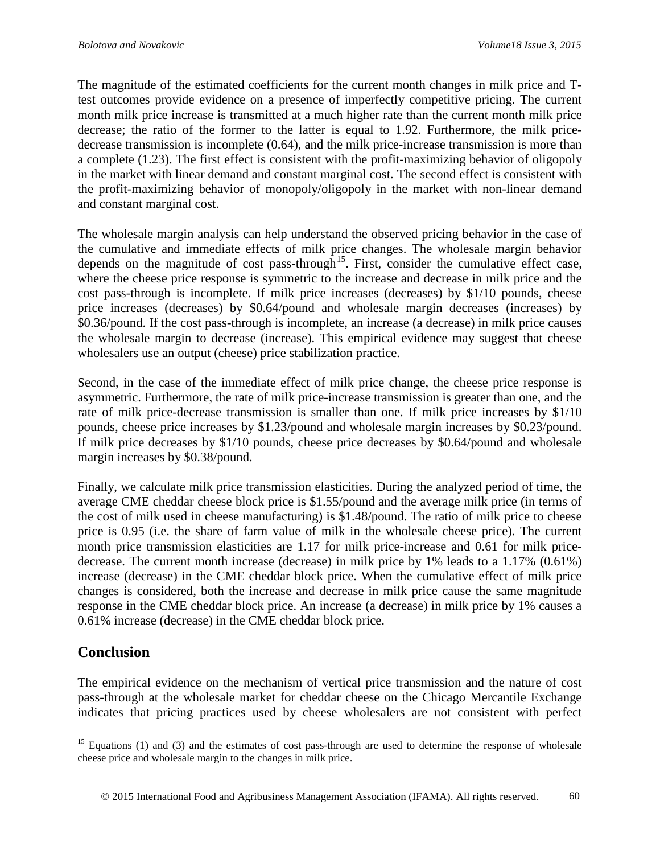The magnitude of the estimated coefficients for the current month changes in milk price and Ttest outcomes provide evidence on a presence of imperfectly competitive pricing. The current month milk price increase is transmitted at a much higher rate than the current month milk price decrease; the ratio of the former to the latter is equal to 1.92. Furthermore, the milk pricedecrease transmission is incomplete (0.64), and the milk price-increase transmission is more than a complete (1.23). The first effect is consistent with the profit-maximizing behavior of oligopoly in the market with linear demand and constant marginal cost. The second effect is consistent with the profit-maximizing behavior of monopoly/oligopoly in the market with non-linear demand and constant marginal cost.

The wholesale margin analysis can help understand the observed pricing behavior in the case of the cumulative and immediate effects of milk price changes. The wholesale margin behavior depends on the magnitude of cost pass-through<sup>15</sup>. First, consider the cumulative effect case, where the cheese price response is symmetric to the increase and decrease in milk price and the cost pass-through is incomplete. If milk price increases (decreases) by \$1/10 pounds, cheese price increases (decreases) by \$0.64/pound and wholesale margin decreases (increases) by \$0.36/pound. If the cost pass-through is incomplete, an increase (a decrease) in milk price causes the wholesale margin to decrease (increase). This empirical evidence may suggest that cheese wholesalers use an output (cheese) price stabilization practice.

Second, in the case of the immediate effect of milk price change, the cheese price response is asymmetric. Furthermore, the rate of milk price-increase transmission is greater than one, and the rate of milk price-decrease transmission is smaller than one. If milk price increases by \$1/10 pounds, cheese price increases by \$1.23/pound and wholesale margin increases by \$0.23/pound. If milk price decreases by \$1/10 pounds, cheese price decreases by \$0.64/pound and wholesale margin increases by \$0.38/pound.

Finally, we calculate milk price transmission elasticities. During the analyzed period of time, the average CME cheddar cheese block price is \$1.55/pound and the average milk price (in terms of the cost of milk used in cheese manufacturing) is \$1.48/pound. The ratio of milk price to cheese price is 0.95 (i.e. the share of farm value of milk in the wholesale cheese price). The current month price transmission elasticities are 1.17 for milk price-increase and 0.61 for milk pricedecrease. The current month increase (decrease) in milk price by 1% leads to a 1.17% (0.61%) increase (decrease) in the CME cheddar block price. When the cumulative effect of milk price changes is considered, both the increase and decrease in milk price cause the same magnitude response in the CME cheddar block price. An increase (a decrease) in milk price by 1% causes a 0.61% increase (decrease) in the CME cheddar block price.

### **Conclusion**

The empirical evidence on the mechanism of vertical price transmission and the nature of cost pass-through at the wholesale market for cheddar cheese on the Chicago Mercantile Exchange indicates that pricing practices used by cheese wholesalers are not consistent with perfect

<span id="page-11-0"></span><sup>&</sup>lt;sup>15</sup> Equations (1) and (3) and the estimates of cost pass-through are used to determine the response of wholesale cheese price and wholesale margin to the changes in milk price.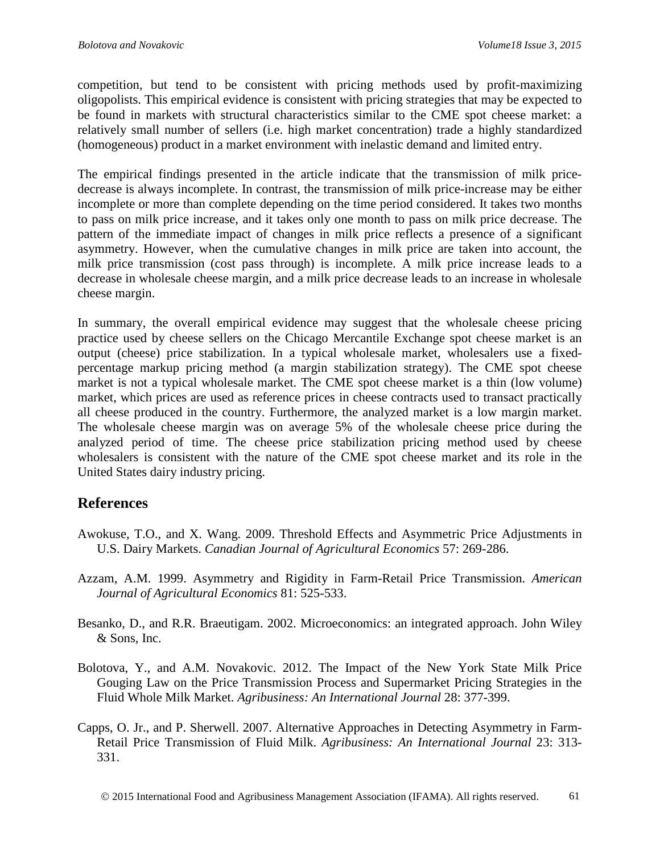competition, but tend to be consistent with pricing methods used by profit-maximizing oligopolists. This empirical evidence is consistent with pricing strategies that may be expected to be found in markets with structural characteristics similar to the CME spot cheese market: a relatively small number of sellers (i.e. high market concentration) trade a highly standardized (homogeneous) product in a market environment with inelastic demand and limited entry.

The empirical findings presented in the article indicate that the transmission of milk pricedecrease is always incomplete. In contrast, the transmission of milk price-increase may be either incomplete or more than complete depending on the time period considered. It takes two months to pass on milk price increase, and it takes only one month to pass on milk price decrease. The pattern of the immediate impact of changes in milk price reflects a presence of a significant asymmetry. However, when the cumulative changes in milk price are taken into account, the milk price transmission (cost pass through) is incomplete. A milk price increase leads to a decrease in wholesale cheese margin, and a milk price decrease leads to an increase in wholesale cheese margin.

In summary, the overall empirical evidence may suggest that the wholesale cheese pricing practice used by cheese sellers on the Chicago Mercantile Exchange spot cheese market is an output (cheese) price stabilization. In a typical wholesale market, wholesalers use a fixedpercentage markup pricing method (a margin stabilization strategy). The CME spot cheese market is not a typical wholesale market. The CME spot cheese market is a thin (low volume) market, which prices are used as reference prices in cheese contracts used to transact practically all cheese produced in the country. Furthermore, the analyzed market is a low margin market. The wholesale cheese margin was on average 5% of the wholesale cheese price during the analyzed period of time. The cheese price stabilization pricing method used by cheese wholesalers is consistent with the nature of the CME spot cheese market and its role in the United States dairy industry pricing.

### **References**

- Awokuse, T.O., and X. Wang. 2009. Threshold Effects and Asymmetric Price Adjustments in U.S. Dairy Markets. *Canadian Journal of Agricultural Economics* 57: 269-286.
- Azzam, A.M. 1999. Asymmetry and Rigidity in Farm-Retail Price Transmission. *American Journal of Agricultural Economics* 81: 525-533.
- Besanko, D., and R.R. Braeutigam. 2002. Microeconomics: an integrated approach. John Wiley & Sons, Inc.
- Bolotova, Y., and A.M. Novakovic. 2012. The Impact of the New York State Milk Price Gouging Law on the Price Transmission Process and Supermarket Pricing Strategies in the Fluid Whole Milk Market. *Agribusiness: An International Journal* 28: 377-399.
- Capps, O. Jr., and P. Sherwell. 2007. Alternative Approaches in Detecting Asymmetry in Farm-Retail Price Transmission of Fluid Milk. *Agribusiness: An International Journal* 23: 313- 331.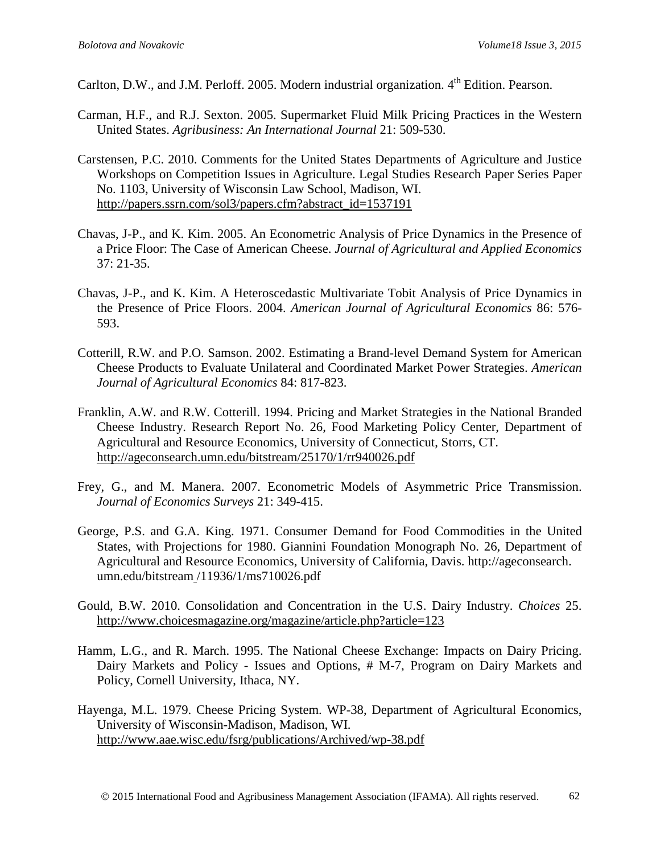Carlton, D.W., and J.M. Perloff. 2005. Modern industrial organization. 4<sup>th</sup> Edition. Pearson.

- Carman, H.F., and R.J. Sexton. 2005. Supermarket Fluid Milk Pricing Practices in the Western United States. *Agribusiness: An International Journal* 21: 509-530.
- Carstensen, P.C. 2010. Comments for the United States Departments of Agriculture and Justice Workshops on Competition Issues in Agriculture. Legal Studies Research Paper Series Paper No. 1103, University of Wisconsin Law School, Madison, WI. [http://papers.ssrn.com/sol3/papers.cfm?abstract\\_id=1537191](http://papers.ssrn.com/sol3/papers.cfm?abstract_id=1537191)
- Chavas, J-P., and K. Kim. 2005. An Econometric Analysis of Price Dynamics in the Presence of a Price Floor: The Case of American Cheese. *Journal of Agricultural and Applied Economics* 37: 21-35.
- Chavas, J-P., and K. Kim. A Heteroscedastic Multivariate Tobit Analysis of Price Dynamics in the Presence of Price Floors. 2004. *American Journal of Agricultural Economics* 86: 576- 593.
- Cotterill, R.W. and P.O. Samson. 2002. Estimating a Brand-level Demand System for American Cheese Products to Evaluate Unilateral and Coordinated Market Power Strategies. *American Journal of Agricultural Economics* 84: 817-823.
- Franklin, A.W. and R.W. Cotterill. 1994. Pricing and Market Strategies in the National Branded Cheese Industry. Research Report No. 26, Food Marketing Policy Center, Department of Agricultural and Resource Economics, University of Connecticut, Storrs, CT. <http://ageconsearch.umn.edu/bitstream/25170/1/rr940026.pdf>
- Frey, G., and M. Manera. 2007. Econometric Models of Asymmetric Price Transmission. *Journal of Economics Surveys* 21: 349-415.
- George, P.S. and G.A. King. 1971. Consumer Demand for Food Commodities in the United States, with Projections for 1980. Giannini Foundation Monograph No. 26, Department of Agricultural and Resource Economics, University of California, Davis. http://ageconsearch. umn.edu/bitstream /11936/1/ms710026.pdf
- Gould, B.W. 2010. Consolidation and Concentration in the U.S. Dairy Industry. *Choices* 25. <http://www.choicesmagazine.org/magazine/article.php?article=123>
- Hamm, L.G., and R. March. 1995. The National Cheese Exchange: Impacts on Dairy Pricing. Dairy Markets and Policy - Issues and Options, # M-7, Program on Dairy Markets and Policy, Cornell University, Ithaca, NY.
- Hayenga, M.L. 1979. Cheese Pricing System. WP-38, Department of Agricultural Economics, University of Wisconsin-Madison, Madison, WI. <http://www.aae.wisc.edu/fsrg/publications/Archived/wp-38.pdf>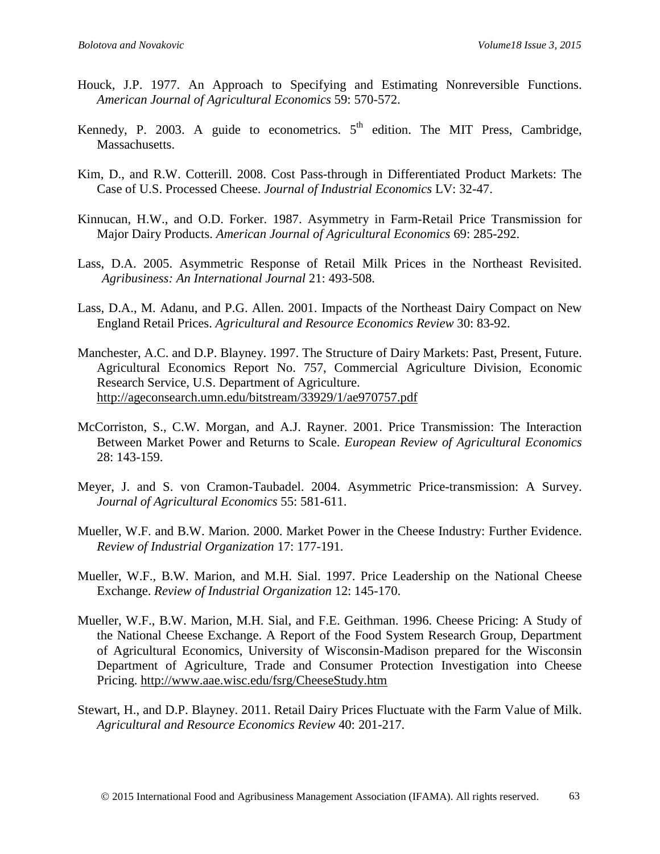- Houck, J.P. 1977. An Approach to Specifying and Estimating Nonreversible Functions. *American Journal of Agricultural Economics* 59: 570-572.
- Kennedy, P. 2003. A guide to econometrics.  $5<sup>th</sup>$  edition. The MIT Press, Cambridge, Massachusetts.
- Kim, D., and R.W. Cotterill. 2008. Cost Pass-through in Differentiated Product Markets: The Case of U.S. Processed Cheese. *Journal of Industrial Economics* LV: 32-47.
- Kinnucan, H.W., and O.D. Forker. 1987. Asymmetry in Farm-Retail Price Transmission for Major Dairy Products. *American Journal of Agricultural Economics* 69: 285-292.
- Lass, D.A. 2005. Asymmetric Response of Retail Milk Prices in the Northeast Revisited. *Agribusiness: An International Journal* 21: 493-508.
- Lass, D.A., M. Adanu, and P.G. Allen. 2001. Impacts of the Northeast Dairy Compact on New England Retail Prices. *Agricultural and Resource Economics Review* 30: 83-92.
- Manchester, A.C. and D.P. Blayney. 1997. The Structure of Dairy Markets: Past, Present, Future. Agricultural Economics Report No. 757, Commercial Agriculture Division, Economic Research Service, U.S. Department of Agriculture. <http://ageconsearch.umn.edu/bitstream/33929/1/ae970757.pdf>
- McCorriston, S., C.W. Morgan, and A.J. Rayner. 2001. Price Transmission: The Interaction Between Market Power and Returns to Scale. *European Review of Agricultural Economics* 28: 143-159.
- Meyer, J. and S. von Cramon-Taubadel. 2004. Asymmetric Price-transmission: A Survey. *Journal of Agricultural Economics* 55: 581-611.
- Mueller, W.F. and B.W. Marion. 2000. Market Power in the Cheese Industry: Further Evidence. *Review of Industrial Organization* 17: 177-191.
- Mueller, W.F., B.W. Marion, and M.H. Sial. 1997. Price Leadership on the National Cheese Exchange. *Review of Industrial Organization* 12: 145-170.
- Mueller, W.F., B.W. Marion, M.H. Sial, and F.E. Geithman. 1996. Cheese Pricing: A Study of the National Cheese Exchange. A Report of the Food System Research Group, Department of Agricultural Economics, University of Wisconsin-Madison prepared for the Wisconsin Department of Agriculture, Trade and Consumer Protection Investigation into Cheese Pricing.<http://www.aae.wisc.edu/fsrg/CheeseStudy.htm>
- Stewart, H., and D.P. Blayney. 2011. Retail Dairy Prices Fluctuate with the Farm Value of Milk. *Agricultural and Resource Economics Review* 40: 201-217.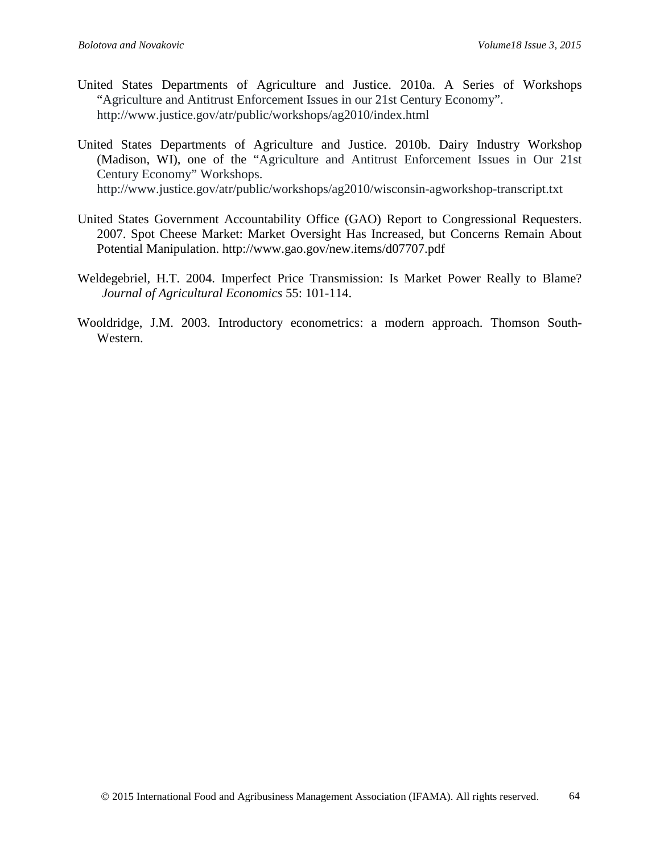- United States Departments of Agriculture and Justice. 2010a. A Series of Workshops "Agriculture and Antitrust Enforcement Issues in our 21st Century Economy". http://www.justice.gov/atr/public/workshops/ag2010/index.html
- United States Departments of Agriculture and Justice. 2010b. Dairy Industry Workshop (Madison, WI), one of the "Agriculture and Antitrust Enforcement Issues in Our 21st Century Economy" Workshops. http://www.justice.gov/atr/public/workshops/ag2010/wisconsin-agworkshop-transcript.txt
- United States Government Accountability Office (GAO) Report to Congressional Requesters. 2007. Spot Cheese Market: Market Oversight Has Increased, but Concerns Remain About Potential Manipulation. http://www.gao.gov/new.items/d07707.pdf
- Weldegebriel, H.T. 2004. Imperfect Price Transmission: Is Market Power Really to Blame? *Journal of Agricultural Economics* 55: 101-114.
- Wooldridge, J.M. 2003. Introductory econometrics: a modern approach. Thomson South-Western.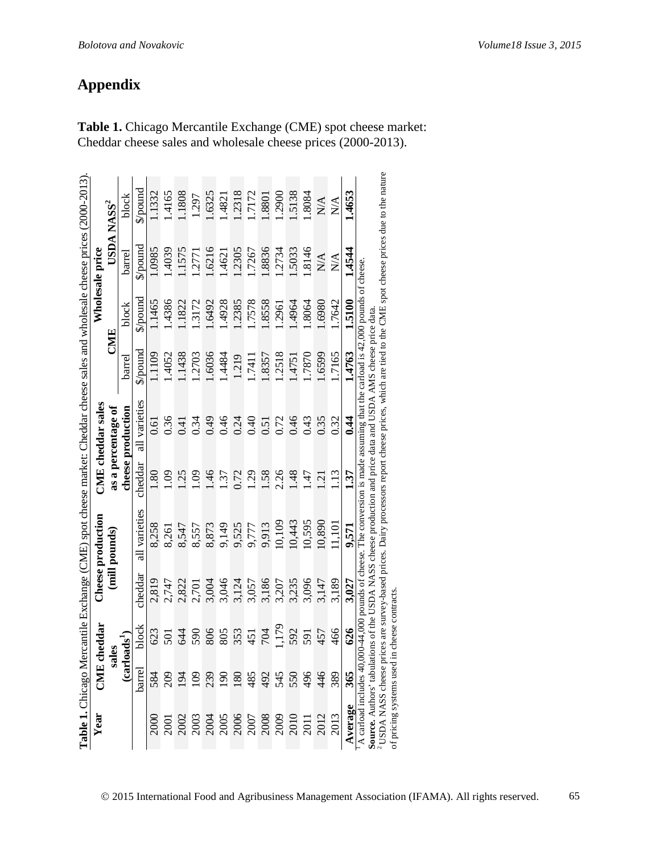|                                              |                          |                  |         | Table 1. Chicago Mercantile Exchange (CME) spot cheese market: Cheddar cheese sales and wholesale cheese prices (2000-2013)                                                                        |                     |                    |          |                              |                             |                             |
|----------------------------------------------|--------------------------|------------------|---------|----------------------------------------------------------------------------------------------------------------------------------------------------------------------------------------------------|---------------------|--------------------|----------|------------------------------|-----------------------------|-----------------------------|
| Year                                         |                          | CME cheddar      |         | Cheese production                                                                                                                                                                                  |                     | CME cheddar sales  |          |                              | Wholesale price             |                             |
|                                              | sales                    |                  |         | (mill pounds)                                                                                                                                                                                      |                     | as a percentage of | CMIE     |                              |                             | USDA NASS <sup>2</sup>      |
|                                              | <b>Carlos</b>            | $\mathbf{ads}^1$ |         |                                                                                                                                                                                                    |                     | cheese production  | barrel   | block                        | barrel                      | block                       |
|                                              | barrel                   | block            | cheddar | all varieties                                                                                                                                                                                      | cheddar             | all varieties      | \$/pound | $\mathbb{S}/\mathbb{S}$ ound | $\mathbb{S}/\mathrm{pound}$ | $\mathbb{S}/\mathrm{pound}$ |
| 2000                                         | 584                      | 623              | 2,819   | 8,258                                                                                                                                                                                              | $\mathbf{8}$        | 0.61               | 1.1109   | 1465                         | 1.0985                      | 1332                        |
| 2001                                         | 209                      | 501              | 2,747   | 8,261                                                                                                                                                                                              | 60                  | 0.36               | .4052    | 1.4386                       | 1.4039                      | .4165                       |
|                                              | $\overline{5}$           | 644              | 2,822   | 8,547                                                                                                                                                                                              | 25                  | 0.41               | 1.1438   | 1.1822                       | 1.1575                      | .1808                       |
|                                              | $\overline{109}$         | 590              | 2,701   | 8,557                                                                                                                                                                                              | 60                  | 0.34               | 1.2703   | 1.3172                       | 1.2771                      | 1.297                       |
| 2003<br>2003<br>2005<br>2006<br>2008<br>2008 | 239                      | 806              | 3,004   | 8,873                                                                                                                                                                                              | $\dot{9}$           | 64.0               | 1.6036   | 1.6492                       | 1.6216                      | .6325                       |
|                                              | 190                      | 805              | 3,046   | 9,149                                                                                                                                                                                              | $\ddot{s}$          | 0.46               | 1.4484   | 1.4928                       | 1.4621                      | .4821                       |
|                                              | 180                      | 353              | 3,124   | 9,525                                                                                                                                                                                              | 0.72                | 0.24               | 1.219    | 1.2385                       | 1.2305                      | .2318                       |
|                                              | 485                      | 451              | 3,057   | 9,777                                                                                                                                                                                              | 1.29                | 0.40               | 1.7411   | 1.7578                       | 1.7267                      | 17172                       |
|                                              | 492                      | <b>704</b>       | 3,186   | 9,913                                                                                                                                                                                              | 1.58                | 0.51               | 1.8357   | 1.8558                       | 1.8836                      | 1.8801                      |
|                                              | 545                      | 179              | 3,207   | 10,109                                                                                                                                                                                             | 2.26                | 0.72               | 1.2518   | 1.2961                       | 1.2734                      | .2900                       |
| 2010                                         | 550                      | 592              | 3,235   | 10,443                                                                                                                                                                                             | $\frac{48}{5}$      | 0.46               | 14751    | 1.4964                       | .5033                       | 5138                        |
| 2011                                         | 496                      | 591              | 3,096   | 10,595                                                                                                                                                                                             | -47                 | 0.43               | 1.7870   | 1.8064                       | 1.8146                      | .8084                       |
| 2012                                         | 446                      | 457              | 3,147   | 10,890                                                                                                                                                                                             | $\dot{\mathcal{L}}$ | 0.35               | 1.6599   | 1.6980                       | N/A                         | N/A                         |
| 2013                                         | 389                      | 466              | 3,189   | 11,101                                                                                                                                                                                             | $\frac{13}{2}$      | 0.32               | 1.7165   | L7642                        | $\sum_{i=1}^{n}$            | $\mathbb{N}$                |
| Average                                      | 365                      | 626              | 3.027   | 9,571                                                                                                                                                                                              | 137                 | 0.44               | 1.4763   | 1.5100                       | 1.4544                      | 1.4653                      |
| <b>Source.</b> Authors' tabulation           | A carload includes 40,00 |                  |         | 00-44,000 pounds of cheese. The conversion is made assuming that the carload is $42,000$ pounds of cheese.<br>ons of the USDA NASS cheese production and price data and USDA AMS cheese price data |                     |                    |          |                              |                             |                             |
|                                              |                          |                  |         | <sup>2</sup> USDA NASS cheese prices are survey-based prices. Dairy processors report cheese prices, which are tied to the CME spot cheese prices due to the nature                                |                     |                    |          |                              |                             |                             |
| of pricing systems used in                   |                          | cheese contracts |         |                                                                                                                                                                                                    |                     |                    |          |                              |                             |                             |

**Table 1.** Chicago Mercantile Exchange (CME) spot cheese market: Cheddar cheese sales and wholesale cheese prices (2000-2013).